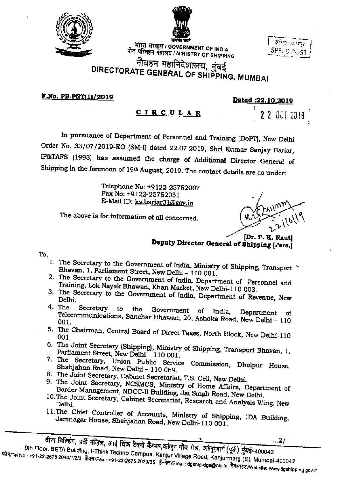



भारत सरकार / GOVERNMENT OF INDIA पोत परिवहन मंत्रालय / MINISTRY OF SHIPPING

| साथ कम्हा                    |
|------------------------------|
|                              |
| <b>SPEED POST</b>            |
| <b>CONTRACTOR CONTRACTOR</b> |

## नीवहन महानिदेशालय, मुंबई DIRECTORATE GENERAL OF SHIPPING, MUMBAI

 $F.No. PB-PNT(1)/2019$ 

<u>Dated:22.10.2019</u>

**CIRCULAR** 

2 2 OCT 2019

In pursuance of Department of Personnel and Training [DoPT], New Delhi Order No. 33/07/2019-EO (SM-I) dated 22.07.2019, Shri Kumar Sanjay Bariar, IP&TAFS (1993) has assumed the charge of Additional Director General of Shipping in the forenoon of 19th August, 2019. The contact details are as under:

> Telephone No: +9122-25752007 Fax No: +9122-25752031 E-Mail ID: ks.bariar31@gov.in

The above is for information of all concerned.

Dr. P. K. Rautl Deputy Director General of Shipping [Pers.]

To,

- 1. The Secretary to the Government of India, Ministry of Shipping, Transport Bhavan, 1, Parliament Street, New Delhi - 110 001.
- 2. The Secretary to the Government of India, Department of Personnel and Training, Lok Nayak Bhawan, Khan Market, New Delhi-110 003.
- 3. The Secretary to the Government of India, Department of Revenue, New Delhi.
- 4. The Secretary to the Government  $of$ India, Department of Telecommunications, Sanchar Bhawan, 20, Ashoka Road, New Delhi - 110 001.
- 5. The Chairman, Central Board of Direct Taxes, North Block, New Delhi-110
- 6. The Joint Secretary (Shipping), Ministry of Shipping, Transport Bhavan, 1, Parliament Street, New Delhi - 110 001.
- 7. The Secretary, Union Public Service Commission, Dholpur House, Shahjahan Road, New Delhi - 110 069.
- 8. The Joint Secretary, Cabinet Secretariat, T.S. Cell, New Delhi.
- 9. The Joint Secretary, NCSMCS, Ministry of Home Affairs, Department of Border Management, NDCC-II Building, Jai Singh Road, New Delhi.
- 10. The Joint Secretary, Cabinet Secretariat, Research and Analysis Wing, New
- 11. The Chief Controller of Accounts, Ministry of Shipping, IDA Building, Jamnagar House, Shahjahan Road, New Delhi-110 001.

 $...2/-$ 9th Floor, BETA Building, I-Think Techno Campus, Kanjur Village Road, Kanjurmarg (E), Mumbai-400042 फोन/Tel No.: +91-22-2675 2040/1/2/3 फ़ैक्स/Fax.: +91-22-2675 2029/35 ई-मेल/Email: dgship-dgs@nic.in वैबसाइट/Website: www.dgshipping.gov.in